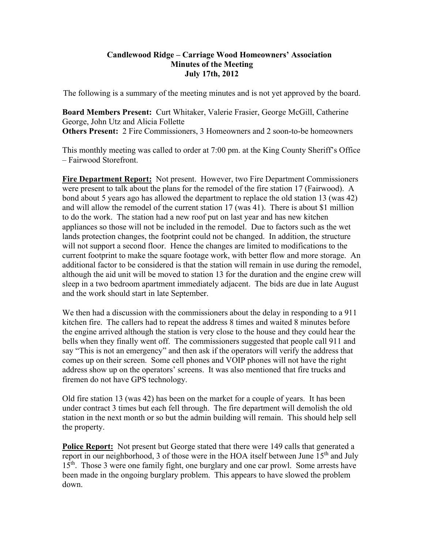#### **Candlewood Ridge – Carriage Wood Homeowners' Association Minutes of the Meeting July 17th, 2012**

The following is a summary of the meeting minutes and is not yet approved by the board.

**Board Members Present:** Curt Whitaker, Valerie Frasier, George McGill, Catherine George, John Utz and Alicia Follette **Others Present:** 2 Fire Commissioners, 3 Homeowners and 2 soon-to-be homeowners

This monthly meeting was called to order at 7:00 pm. at the King County Sheriff's Office – Fairwood Storefront.

**Fire Department Report:** Not present. However, two Fire Department Commissioners were present to talk about the plans for the remodel of the fire station 17 (Fairwood). A bond about 5 years ago has allowed the department to replace the old station 13 (was 42) and will allow the remodel of the current station 17 (was 41). There is about \$1 million to do the work. The station had a new roof put on last year and has new kitchen appliances so those will not be included in the remodel. Due to factors such as the wet lands protection changes, the footprint could not be changed. In addition, the structure will not support a second floor. Hence the changes are limited to modifications to the current footprint to make the square footage work, with better flow and more storage. An additional factor to be considered is that the station will remain in use during the remodel, although the aid unit will be moved to station 13 for the duration and the engine crew will sleep in a two bedroom apartment immediately adjacent. The bids are due in late August and the work should start in late September.

We then had a discussion with the commissioners about the delay in responding to a 911 kitchen fire. The callers had to repeat the address 8 times and waited 8 minutes before the engine arrived although the station is very close to the house and they could hear the bells when they finally went off. The commissioners suggested that people call 911 and say "This is not an emergency" and then ask if the operators will verify the address that comes up on their screen. Some cell phones and VOIP phones will not have the right address show up on the operators' screens. It was also mentioned that fire trucks and firemen do not have GPS technology.

Old fire station 13 (was 42) has been on the market for a couple of years. It has been under contract 3 times but each fell through. The fire department will demolish the old station in the next month or so but the admin building will remain. This should help sell the property.

**Police Report:** Not present but George stated that there were 149 calls that generated a report in our neighborhood, 3 of those were in the HOA itself between June  $15<sup>th</sup>$  and July 15<sup>th</sup>. Those 3 were one family fight, one burglary and one car prowl. Some arrests have been made in the ongoing burglary problem. This appears to have slowed the problem down.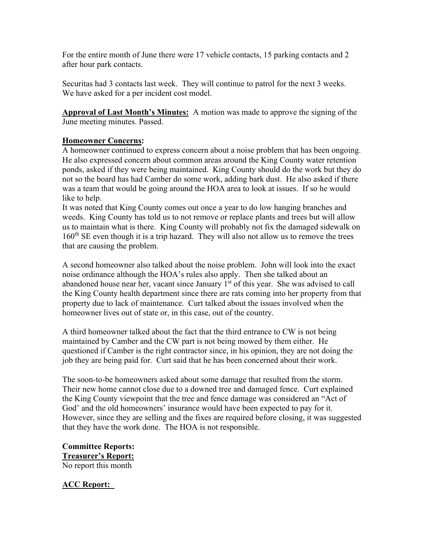For the entire month of June there were 17 vehicle contacts, 15 parking contacts and 2 after hour park contacts.

Securitas had 3 contacts last week. They will continue to patrol for the next 3 weeks. We have asked for a per incident cost model.

**Approval of Last Month's Minutes:** A motion was made to approve the signing of the June meeting minutes. Passed.

#### **Homeowner Concerns:**

A homeowner continued to express concern about a noise problem that has been ongoing. He also expressed concern about common areas around the King County water retention ponds, asked if they were being maintained. King County should do the work but they do not so the board has had Camber do some work, adding bark dust. He also asked if there was a team that would be going around the HOA area to look at issues. If so he would like to help.

It was noted that King County comes out once a year to do low hanging branches and weeds. King County has told us to not remove or replace plants and trees but will allow us to maintain what is there. King County will probably not fix the damaged sidewalk on  $160<sup>th</sup>$  SE even though it is a trip hazard. They will also not allow us to remove the trees that are causing the problem.

A second homeowner also talked about the noise problem. John will look into the exact noise ordinance although the HOA's rules also apply. Then she talked about an abandoned house near her, vacant since January 1<sup>st</sup> of this year. She was advised to call the King County health department since there are rats coming into her property from that property due to lack of maintenance. Curt talked about the issues involved when the homeowner lives out of state or, in this case, out of the country.

A third homeowner talked about the fact that the third entrance to CW is not being maintained by Camber and the CW part is not being mowed by them either. He questioned if Camber is the right contractor since, in his opinion, they are not doing the job they are being paid for. Curt said that he has been concerned about their work.

The soon-to-be homeowners asked about some damage that resulted from the storm. Their new home cannot close due to a downed tree and damaged fence. Curt explained the King County viewpoint that the tree and fence damage was considered an "Act of God' and the old homeowners' insurance would have been expected to pay for it. However, since they are selling and the fixes are required before closing, it was suggested that they have the work done. The HOA is not responsible.

**Committee Reports: Treasurer's Report:** No report this month

**ACC Report:**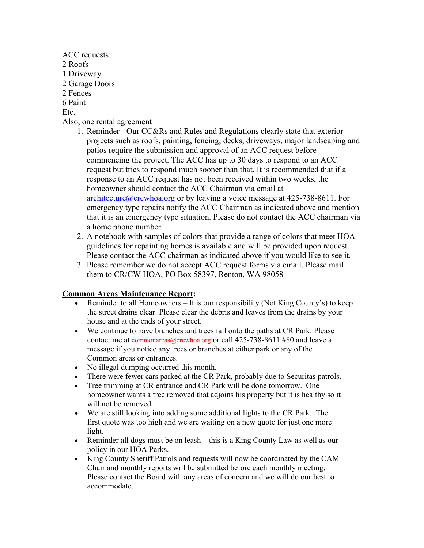- ACC requests: 2 Roofs 1 Driveway 2 Garage Doors 2 Fences 6 Paint Etc. Also, one rental agreement
	- 1. Reminder Our CC&Rs and Rules and Regulations clearly state that exterior projects such as roofs, painting, fencing, decks, driveways, major landscaping and patios require the submission and approval of an ACC request before commencing the project. The ACC has up to 30 days to respond to an ACC request but tries to respond much sooner than that. It is recommended that if a response to an ACC request has not been received within two weeks, the homeowner should contact the ACC Chairman via email at architecture@crcwhoa.org or by leaving a voice message at 425-738-8611. For emergency type repairs notify the ACC Chairman as indicated above and mention that it is an emergency type situation. Please do not contact the ACC chairman via a home phone number.
	- 2. A notebook with samples of colors that provide a range of colors that meet HOA guidelines for repainting homes is available and will be provided upon request. Please contact the ACC chairman as indicated above if you would like to see it.
	- 3. Please remember we do not accept ACC request forms via email. Please mail them to CR/CW HOA, PO Box 58397, Renton, WA 98058

#### **Common Areas Maintenance Report:**

- Exeminder to all Homeowners It is our responsibility (Not King County's) to keep the street drains clear. Please clear the debris and leaves from the drains by your house and at the ends of your street.
- We continue to have branches and trees fall onto the paths at CR Park. Please contact me at commonareas@crcwhoa.org or call 425-738-8611 #80 and leave a message if you notice any trees or branches at either park or any of the Common areas or entrances.
- No illegal dumping occurred this month.
- There were fewer cars parked at the CR Park, probably due to Securitas patrols.
- Tree trimming at CR entrance and CR Park will be done tomorrow. One homeowner wants a tree removed that adjoins his property but it is healthy so it will not be removed.
- We are still looking into adding some additional lights to the CR Park. The first quote was too high and we are waiting on a new quote for just one more light.
- Reminder all dogs must be on leash this is a King County Law as well as our policy in our HOA Parks.
- King County Sheriff Patrols and requests will now be coordinated by the CAM Chair and monthly reports will be submitted before each monthly meeting. Please contact the Board with any areas of concern and we will do our best to accommodate.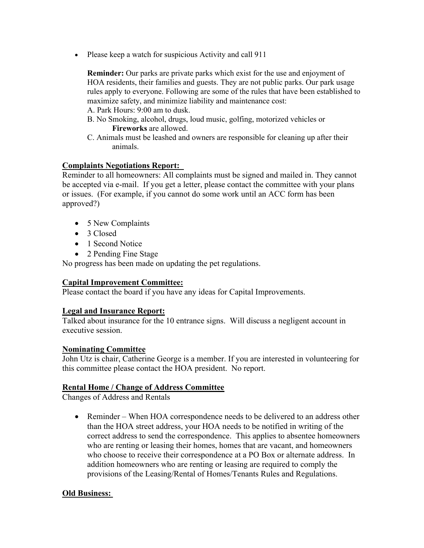• Please keep a watch for suspicious Activity and call 911

**Reminder:** Our parks are private parks which exist for the use and enjoyment of HOA residents, their families and guests. They are not public parks. Our park usage rules apply to everyone. Following are some of the rules that have been established to maximize safety, and minimize liability and maintenance cost:

A. Park Hours: 9:00 am to dusk.

- B. No Smoking, alcohol, drugs, loud music, golfing, motorized vehicles or **Fireworks** are allowed.
- C. Animals must be leashed and owners are responsible for cleaning up after their animals.

## **Complaints Negotiations Report:**

Reminder to all homeowners: All complaints must be signed and mailed in. They cannot be accepted via e-mail. If you get a letter, please contact the committee with your plans or issues. (For example, if you cannot do some work until an ACC form has been approved?)

- 5 New Complaints
- 3 Closed
- 1 Second Notice
- 2 Pending Fine Stage

No progress has been made on updating the pet regulations.

## **Capital Improvement Committee:**

Please contact the board if you have any ideas for Capital Improvements.

## **Legal and Insurance Report:**

Talked about insurance for the 10 entrance signs. Will discuss a negligent account in executive session.

## **Nominating Committee**

John Utz is chair, Catherine George is a member. If you are interested in volunteering for this committee please contact the HOA president. No report.

# **Rental Home / Change of Address Committee**

Changes of Address and Rentals

• Reminder – When HOA correspondence needs to be delivered to an address other than the HOA street address, your HOA needs to be notified in writing of the correct address to send the correspondence. This applies to absentee homeowners who are renting or leasing their homes, homes that are vacant, and homeowners who choose to receive their correspondence at a PO Box or alternate address. In addition homeowners who are renting or leasing are required to comply the provisions of the Leasing/Rental of Homes/Tenants Rules and Regulations.

# **Old Business:**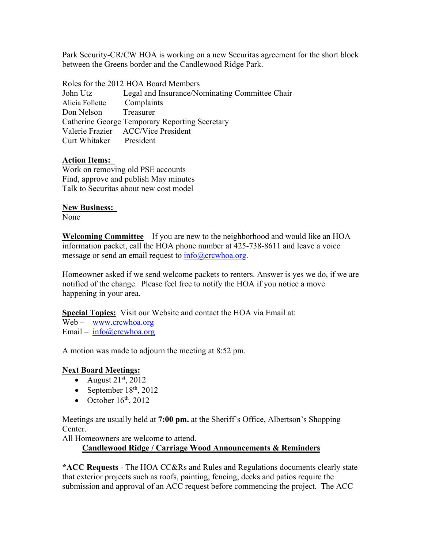Park Security-CR/CW HOA is working on a new Securitas agreement for the short block between the Greens border and the Candlewood Ridge Park.

Roles for the 2012 HOA Board Members John Utz Legal and Insurance/Nominating Committee Chair Alicia Follette Complaints Don Nelson Treasurer Catherine George Temporary Reporting Secretary Valerie Frazier ACC/Vice President Curt Whitaker President

## **Action Items:**

Work on removing old PSE accounts Find, approve and publish May minutes Talk to Securitas about new cost model

#### **New Business:**

None

**Welcoming Committee** – If you are new to the neighborhood and would like an HOA information packet, call the HOA phone number at 425-738-8611 and leave a voice message or send an email request to  $info@crcwhoa.org$ .

Homeowner asked if we send welcome packets to renters. Answer is yes we do, if we are notified of the change. Please feel free to notify the HOA if you notice a move happening in your area.

**Special Topics:** Visit our Website and contact the HOA via Email at:

Web – www.crcwhoa.org Email – info@crcwhoa.org

A motion was made to adjourn the meeting at 8:52 pm.

## **Next Board Meetings:**

- August  $21<sup>st</sup>$ , 2012
- September  $18<sup>th</sup>$ , 2012
- October  $16<sup>th</sup>$ , 2012

Meetings are usually held at **7:00 pm.** at the Sheriff's Office, Albertson's Shopping Center.

All Homeowners are welcome to attend.

**Candlewood Ridge / Carriage Wood Announcements & Reminders** 

**\*ACC Requests** - The HOA CC&Rs and Rules and Regulations documents clearly state that exterior projects such as roofs, painting, fencing, decks and patios require the submission and approval of an ACC request before commencing the project. The ACC